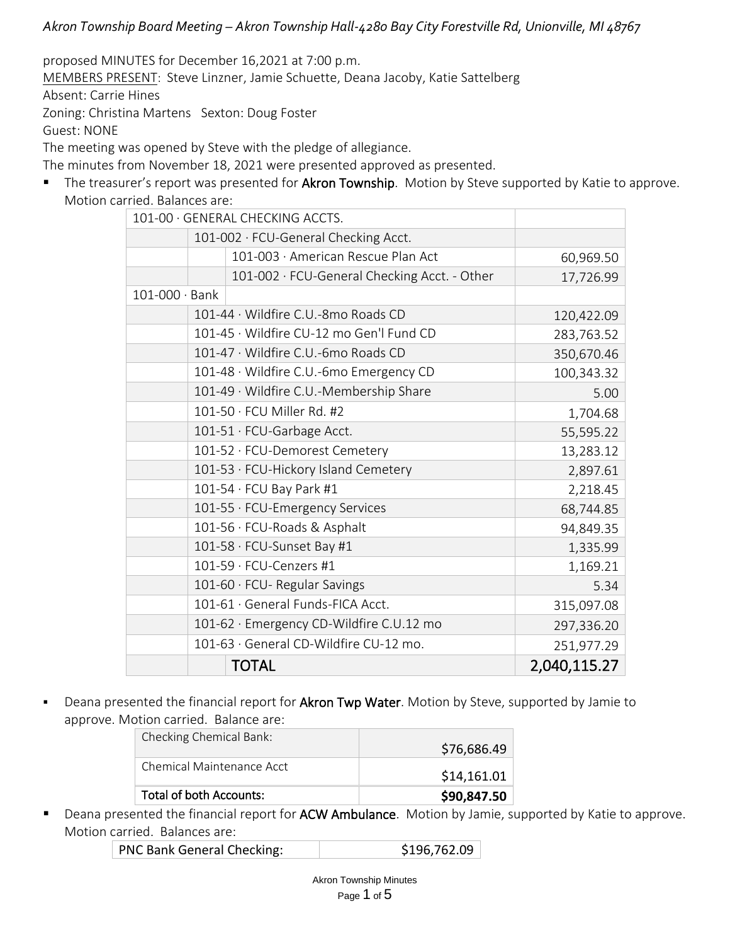proposed MINUTES for December 16,2021 at 7:00 p.m. MEMBERS PRESENT: Steve Linzner, Jamie Schuette, Deana Jacoby, Katie Sattelberg Absent: Carrie Hines Zoning: Christina Martens Sexton: Doug Foster Guest: NONE

The meeting was opened by Steve with the pledge of allegiance.

The minutes from November 18, 2021 were presented approved as presented.

■ The treasurer's report was presented for Akron Township. Motion by Steve supported by Katie to approve. Motion carried. Balances are:

| 101-00 · GENERAL CHECKING ACCTS. |                                      |                                              |              |
|----------------------------------|--------------------------------------|----------------------------------------------|--------------|
|                                  |                                      | 101-002 · FCU-General Checking Acct.         |              |
|                                  |                                      | 101-003 · American Rescue Plan Act           | 60,969.50    |
|                                  |                                      | 101-002 · FCU-General Checking Acct. - Other | 17,726.99    |
| 101-000 · Bank                   |                                      |                                              |              |
|                                  | 120,422.09                           |                                              |              |
|                                  |                                      | 101-45 · Wildfire CU-12 mo Gen'l Fund CD     | 283,763.52   |
|                                  |                                      | 101-47 · Wildfire C.U.-6mo Roads CD          | 350,670.46   |
|                                  |                                      | 101-48 · Wildfire C.U.-6mo Emergency CD      | 100,343.32   |
|                                  |                                      | 101-49 · Wildfire C.U.-Membership Share      | 5.00         |
|                                  |                                      | 101-50 · FCU Miller Rd. #2                   | 1,704.68     |
|                                  |                                      | 101-51 · FCU-Garbage Acct.                   | 55,595.22    |
|                                  |                                      | 101-52 · FCU-Demorest Cemetery               | 13,283.12    |
|                                  | 101-53 · FCU-Hickory Island Cemetery | 2,897.61                                     |              |
|                                  |                                      | $101-54 \cdot FCU$ Bay Park #1               | 2,218.45     |
|                                  |                                      | 101-55 · FCU-Emergency Services              | 68,744.85    |
|                                  |                                      | 101-56 · FCU-Roads & Asphalt                 | 94,849.35    |
|                                  |                                      | 101-58 · FCU-Sunset Bay #1                   | 1,335.99     |
|                                  |                                      | 101-59 · FCU-Cenzers #1                      | 1,169.21     |
|                                  |                                      | 101-60 · FCU- Regular Savings                | 5.34         |
|                                  |                                      | 101-61 · General Funds-FICA Acct.            | 315,097.08   |
|                                  |                                      | 101-62 · Emergency CD-Wildfire C.U.12 mo     | 297,336.20   |
|                                  |                                      | 101-63 · General CD-Wildfire CU-12 mo.       | 251,977.29   |
|                                  |                                      | <b>TOTAL</b>                                 | 2,040,115.27 |

■ Deana presented the financial report for Akron Twp Water. Motion by Steve, supported by Jamie to approve. Motion carried. Balance are:

| Total of both Accounts:   | \$90,847.50 |
|---------------------------|-------------|
| Chemical Maintenance Acct | \$14,161.01 |
| Checking Chemical Bank:   | \$76,686.49 |

■ Deana presented the financial report for ACW Ambulance. Motion by Jamie, supported by Katie to approve. Motion carried. Balances are:

| PNC Bank General Checking: | \$196,762.09 |
|----------------------------|--------------|
|----------------------------|--------------|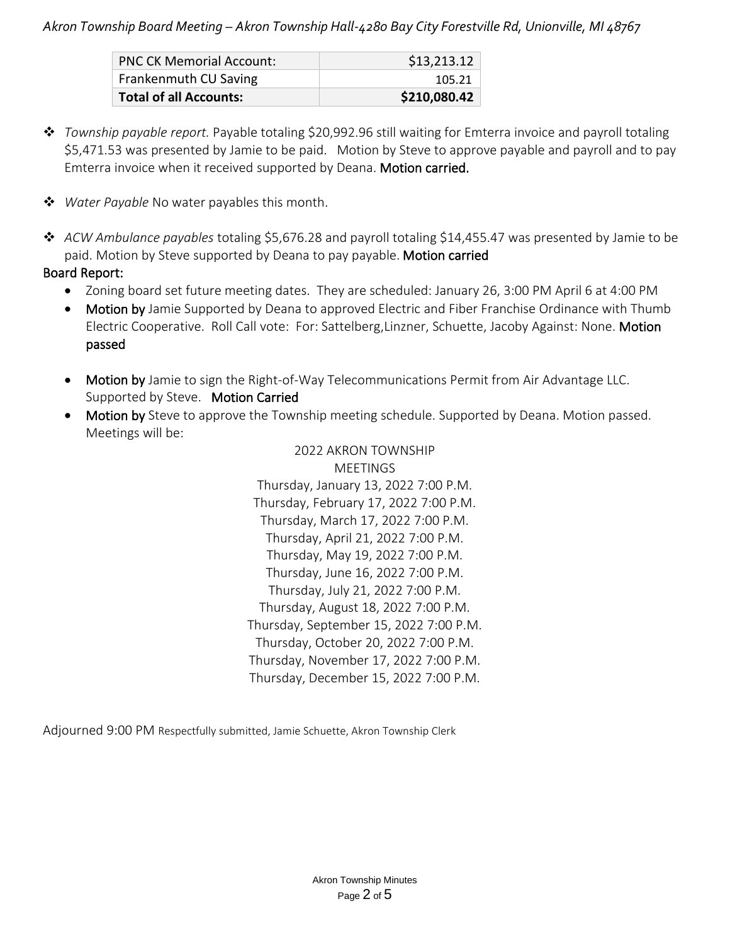| <b>Total of all Accounts:</b>   | \$210,080.42 |
|---------------------------------|--------------|
| Frankenmuth CU Saving           | 105.21       |
| <b>PNC CK Memorial Account:</b> | \$13,213.12  |

- ❖ *Township payable report.* Payable totaling \$20,992.96 still waiting for Emterra invoice and payroll totaling \$5,471.53 was presented by Jamie to be paid. Motion by Steve to approve payable and payroll and to pay Emterra invoice when it received supported by Deana. Motion carried.
- ❖ *Water Payable* No water payables this month.
- ❖ *ACW Ambulance payables* totaling \$5,676.28 and payroll totaling \$14,455.47 was presented by Jamie to be paid. Motion by Steve supported by Deana to pay payable. Motion carried

### Board Report:

- Zoning board set future meeting dates. They are scheduled: January 26, 3:00 PM April 6 at 4:00 PM
- Motion by Jamie Supported by Deana to approved Electric and Fiber Franchise Ordinance with Thumb Electric Cooperative. Roll Call vote: For: Sattelberg,Linzner, Schuette, Jacoby Against: None. Motion passed
- Motion by Jamie to sign the Right-of-Way Telecommunications Permit from Air Advantage LLC. Supported by Steve. Motion Carried
- Motion by Steve to approve the Township meeting schedule. Supported by Deana. Motion passed. Meetings will be:

2022 AKRON TOWNSHIP MEETINGS Thursday, January 13, 2022 7:00 P.M. Thursday, February 17, 2022 7:00 P.M. Thursday, March 17, 2022 7:00 P.M. Thursday, April 21, 2022 7:00 P.M. Thursday, May 19, 2022 7:00 P.M. Thursday, June 16, 2022 7:00 P.M. Thursday, July 21, 2022 7:00 P.M. Thursday, August 18, 2022 7:00 P.M. Thursday, September 15, 2022 7:00 P.M. Thursday, October 20, 2022 7:00 P.M. Thursday, November 17, 2022 7:00 P.M. Thursday, December 15, 2022 7:00 P.M.

Adjourned 9:00 PM Respectfully submitted, Jamie Schuette, Akron Township Clerk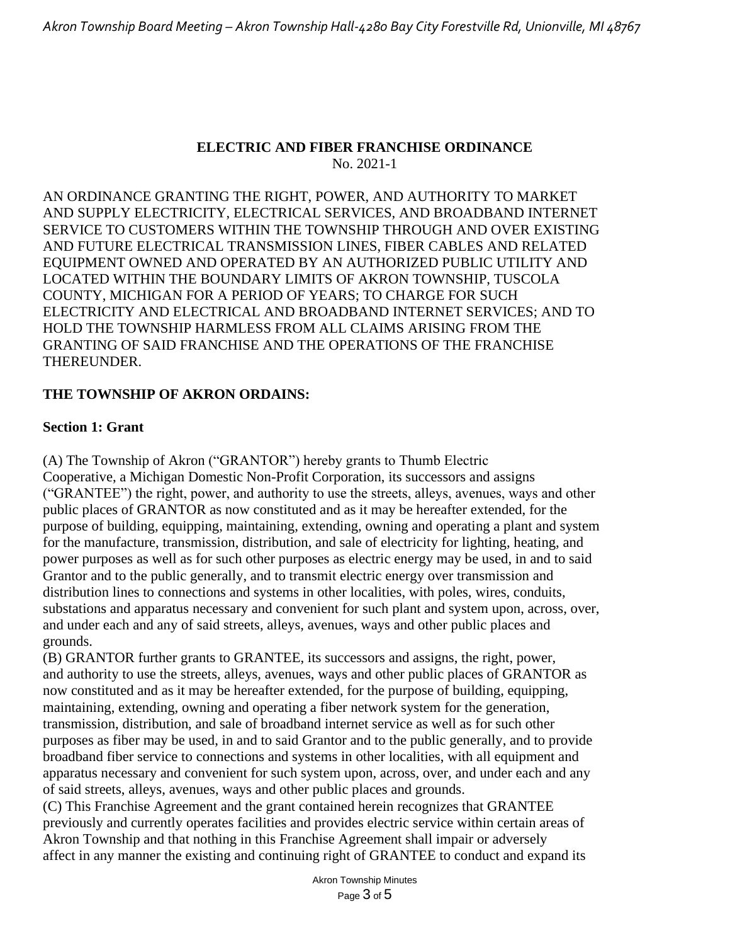#### **ELECTRIC AND FIBER FRANCHISE ORDINANCE** No. 2021-1

AN ORDINANCE GRANTING THE RIGHT, POWER, AND AUTHORITY TO MARKET AND SUPPLY ELECTRICITY, ELECTRICAL SERVICES, AND BROADBAND INTERNET SERVICE TO CUSTOMERS WITHIN THE TOWNSHIP THROUGH AND OVER EXISTING AND FUTURE ELECTRICAL TRANSMISSION LINES, FIBER CABLES AND RELATED EQUIPMENT OWNED AND OPERATED BY AN AUTHORIZED PUBLIC UTILITY AND LOCATED WITHIN THE BOUNDARY LIMITS OF AKRON TOWNSHIP, TUSCOLA COUNTY, MICHIGAN FOR A PERIOD OF YEARS; TO CHARGE FOR SUCH ELECTRICITY AND ELECTRICAL AND BROADBAND INTERNET SERVICES; AND TO HOLD THE TOWNSHIP HARMLESS FROM ALL CLAIMS ARISING FROM THE GRANTING OF SAID FRANCHISE AND THE OPERATIONS OF THE FRANCHISE THEREUNDER.

### **THE TOWNSHIP OF AKRON ORDAINS:**

#### **Section 1: Grant**

(A) The Township of Akron ("GRANTOR") hereby grants to Thumb Electric Cooperative, a Michigan Domestic Non-Profit Corporation, its successors and assigns ("GRANTEE") the right, power, and authority to use the streets, alleys, avenues, ways and other public places of GRANTOR as now constituted and as it may be hereafter extended, for the purpose of building, equipping, maintaining, extending, owning and operating a plant and system for the manufacture, transmission, distribution, and sale of electricity for lighting, heating, and power purposes as well as for such other purposes as electric energy may be used, in and to said Grantor and to the public generally, and to transmit electric energy over transmission and distribution lines to connections and systems in other localities, with poles, wires, conduits, substations and apparatus necessary and convenient for such plant and system upon, across, over, and under each and any of said streets, alleys, avenues, ways and other public places and grounds.

(B) GRANTOR further grants to GRANTEE, its successors and assigns, the right, power, and authority to use the streets, alleys, avenues, ways and other public places of GRANTOR as now constituted and as it may be hereafter extended, for the purpose of building, equipping, maintaining, extending, owning and operating a fiber network system for the generation, transmission, distribution, and sale of broadband internet service as well as for such other purposes as fiber may be used, in and to said Grantor and to the public generally, and to provide broadband fiber service to connections and systems in other localities, with all equipment and apparatus necessary and convenient for such system upon, across, over, and under each and any of said streets, alleys, avenues, ways and other public places and grounds.

(C) This Franchise Agreement and the grant contained herein recognizes that GRANTEE previously and currently operates facilities and provides electric service within certain areas of Akron Township and that nothing in this Franchise Agreement shall impair or adversely affect in any manner the existing and continuing right of GRANTEE to conduct and expand its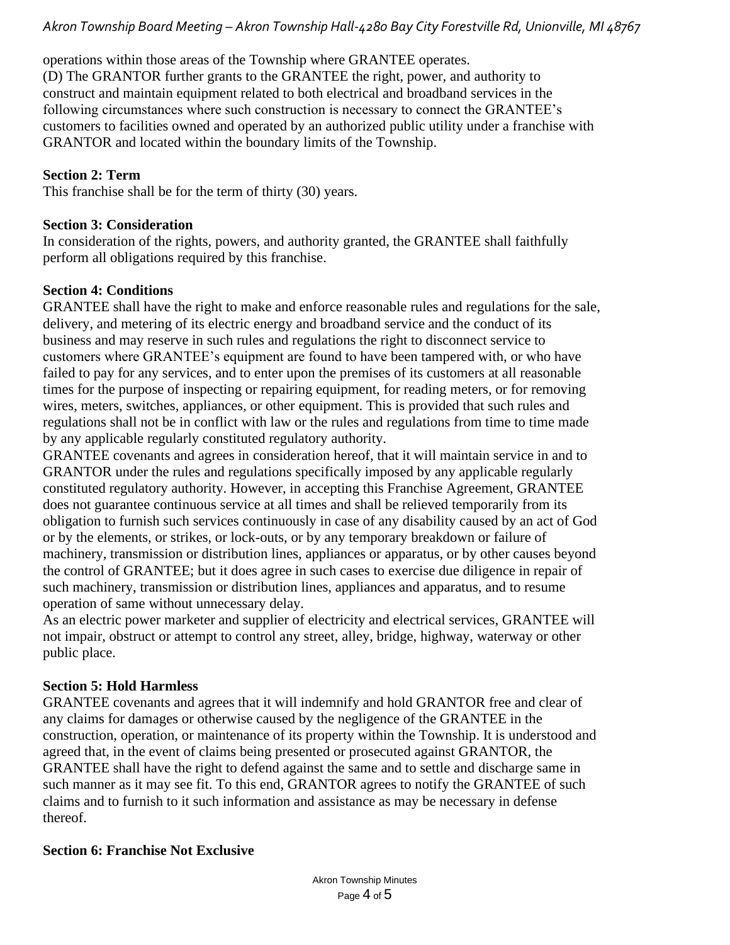operations within those areas of the Township where GRANTEE operates. (D) The GRANTOR further grants to the GRANTEE the right, power, and authority to construct and maintain equipment related to both electrical and broadband services in the following circumstances where such construction is necessary to connect the GRANTEE's customers to facilities owned and operated by an authorized public utility under a franchise with GRANTOR and located within the boundary limits of the Township.

# **Section 2: Term**

This franchise shall be for the term of thirty (30) years.

### **Section 3: Consideration**

In consideration of the rights, powers, and authority granted, the GRANTEE shall faithfully perform all obligations required by this franchise.

### **Section 4: Conditions**

GRANTEE shall have the right to make and enforce reasonable rules and regulations for the sale, delivery, and metering of its electric energy and broadband service and the conduct of its business and may reserve in such rules and regulations the right to disconnect service to customers where GRANTEE's equipment are found to have been tampered with, or who have failed to pay for any services, and to enter upon the premises of its customers at all reasonable times for the purpose of inspecting or repairing equipment, for reading meters, or for removing wires, meters, switches, appliances, or other equipment. This is provided that such rules and regulations shall not be in conflict with law or the rules and regulations from time to time made by any applicable regularly constituted regulatory authority.

GRANTEE covenants and agrees in consideration hereof, that it will maintain service in and to GRANTOR under the rules and regulations specifically imposed by any applicable regularly constituted regulatory authority. However, in accepting this Franchise Agreement, GRANTEE does not guarantee continuous service at all times and shall be relieved temporarily from its obligation to furnish such services continuously in case of any disability caused by an act of God or by the elements, or strikes, or lock-outs, or by any temporary breakdown or failure of machinery, transmission or distribution lines, appliances or apparatus, or by other causes beyond the control of GRANTEE; but it does agree in such cases to exercise due diligence in repair of such machinery, transmission or distribution lines, appliances and apparatus, and to resume operation of same without unnecessary delay.

As an electric power marketer and supplier of electricity and electrical services, GRANTEE will not impair, obstruct or attempt to control any street, alley, bridge, highway, waterway or other public place.

# **Section 5: Hold Harmless**

GRANTEE covenants and agrees that it will indemnify and hold GRANTOR free and clear of any claims for damages or otherwise caused by the negligence of the GRANTEE in the construction, operation, or maintenance of its property within the Township. It is understood and agreed that, in the event of claims being presented or prosecuted against GRANTOR, the GRANTEE shall have the right to defend against the same and to settle and discharge same in such manner as it may see fit. To this end, GRANTOR agrees to notify the GRANTEE of such claims and to furnish to it such information and assistance as may be necessary in defense thereof.

### **Section 6: Franchise Not Exclusive**